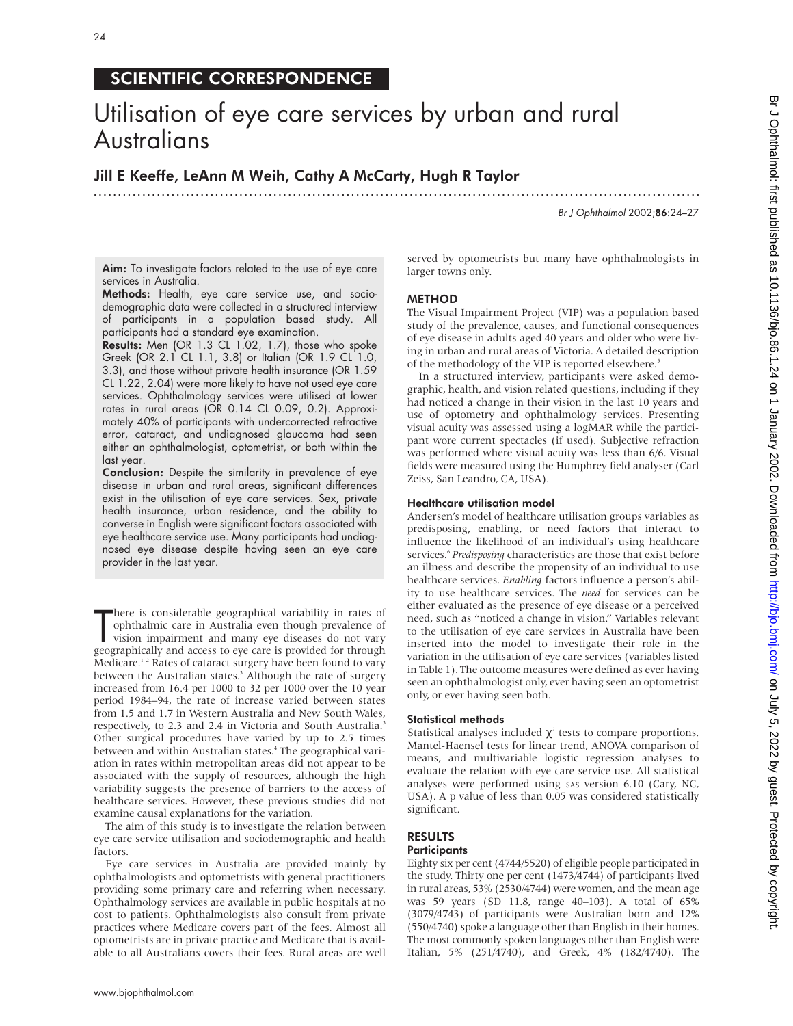# SCIENTIFIC CORRESPONDENCE

# Utilisation of eye care services by urban and rural **Australians**

.............................................................................................................................

Jill E Keeffe, LeAnn M Weih, Cathy A McCarty, Hugh R Taylor

Br J Ophthalmol 2002;86:24–27

Aim: To investigate factors related to the use of eye care services in Australia.

Methods: Health, eye care service use, and sociodemographic data were collected in a structured interview of participants in a population based study. All participants had a standard eye examination.

Results: Men (OR 1.3 CL 1.02, 1.7), those who spoke Greek (OR 2.1 CL 1.1, 3.8) or Italian (OR 1.9 CL 1.0, 3.3), and those without private health insurance (OR 1.59 CL 1.22, 2.04) were more likely to have not used eye care services. Ophthalmology services were utilised at lower rates in rural areas (OR 0.14 CL 0.09, 0.2). Approximately 40% of participants with undercorrected refractive error, cataract, and undiagnosed glaucoma had seen either an ophthalmologist, optometrist, or both within the last year.

**Conclusion:** Despite the similarity in prevalence of eye disease in urban and rural areas, significant differences exist in the utilisation of eye care services. Sex, private health insurance, urban residence, and the ability to converse in English were significant factors associated with eye healthcare service use. Many participants had undiagnosed eye disease despite having seen an eye care provider in the last year.

There is considerable geographical variability in rates of ophthalmic care in Australia even though prevalence of vision impairment and many eye diseases do not vary geographically and access to eye care is provided for th here is considerable geographical variability in rates of ophthalmic care in Australia even though prevalence of vision impairment and many eye diseases do not vary Medicare.<sup>12</sup> Rates of cataract surgery have been found to vary between the Australian states.<sup>3</sup> Although the rate of surgery increased from 16.4 per 1000 to 32 per 1000 over the 10 year period 1984–94, the rate of increase varied between states from 1.5 and 1.7 in Western Australia and New South Wales, respectively, to 2.3 and 2.4 in Victoria and South Australia.<sup>3</sup> Other surgical procedures have varied by up to 2.5 times between and within Australian states.<sup>4</sup> The geographical variation in rates within metropolitan areas did not appear to be associated with the supply of resources, although the high variability suggests the presence of barriers to the access of healthcare services. However, these previous studies did not examine causal explanations for the variation.

The aim of this study is to investigate the relation between eye care service utilisation and sociodemographic and health factors.

Eye care services in Australia are provided mainly by ophthalmologists and optometrists with general practitioners providing some primary care and referring when necessary. Ophthalmology services are available in public hospitals at no cost to patients. Ophthalmologists also consult from private practices where Medicare covers part of the fees. Almost all optometrists are in private practice and Medicare that is available to all Australians covers their fees. Rural areas are well

served by optometrists but many have ophthalmologists in larger towns only.

# METHOD

The Visual Impairment Project (VIP) was a population based study of the prevalence, causes, and functional consequences of eye disease in adults aged 40 years and older who were living in urban and rural areas of Victoria. A detailed description of the methodology of the VIP is reported elsewhere.<sup>5</sup>

In a structured interview, participants were asked demographic, health, and vision related questions, including if they had noticed a change in their vision in the last 10 years and use of optometry and ophthalmology services. Presenting visual acuity was assessed using a logMAR while the participant wore current spectacles (if used). Subjective refraction was performed where visual acuity was less than 6/6. Visual fields were measured using the Humphrey field analyser (Carl Zeiss, San Leandro, CA, USA).

# Healthcare utilisation model

Andersen's model of healthcare utilisation groups variables as predisposing, enabling, or need factors that interact to influence the likelihood of an individual's using healthcare services.<sup>6</sup> Predisposing characteristics are those that exist before an illness and describe the propensity of an individual to use healthcare services. *Enabling* factors influence a person's ability to use healthcare services. The *need* for services can be either evaluated as the presence of eye disease or a perceived need, such as "noticed a change in vision." Variables relevant to the utilisation of eye care services in Australia have been inserted into the model to investigate their role in the variation in the utilisation of eye care services (variables listed in Table 1). The outcome measures were defined as ever having seen an ophthalmologist only, ever having seen an optometrist only, or ever having seen both.

# Statistical methods

Statistical analyses included  $\chi^2$  tests to compare proportions, Mantel-Haensel tests for linear trend, ANOVA comparison of means, and multivariable logistic regression analyses to evaluate the relation with eye care service use. All statistical analyses were performed using SAS version 6.10 (Cary, NC, USA). A p value of less than 0.05 was considered statistically significant.

#### RESULTS **Participants**

Eighty six per cent (4744/5520) of eligible people participated in the study. Thirty one per cent (1473/4744) of participants lived in rural areas, 53% (2530/4744) were women, and the mean age was 59 years (SD 11.8, range 40–103). A total of 65% (3079/4743) of participants were Australian born and 12% (550/4740) spoke a language other than English in their homes. The most commonly spoken languages other than English were Italian, 5% (251/4740), and Greek, 4% (182/4740). The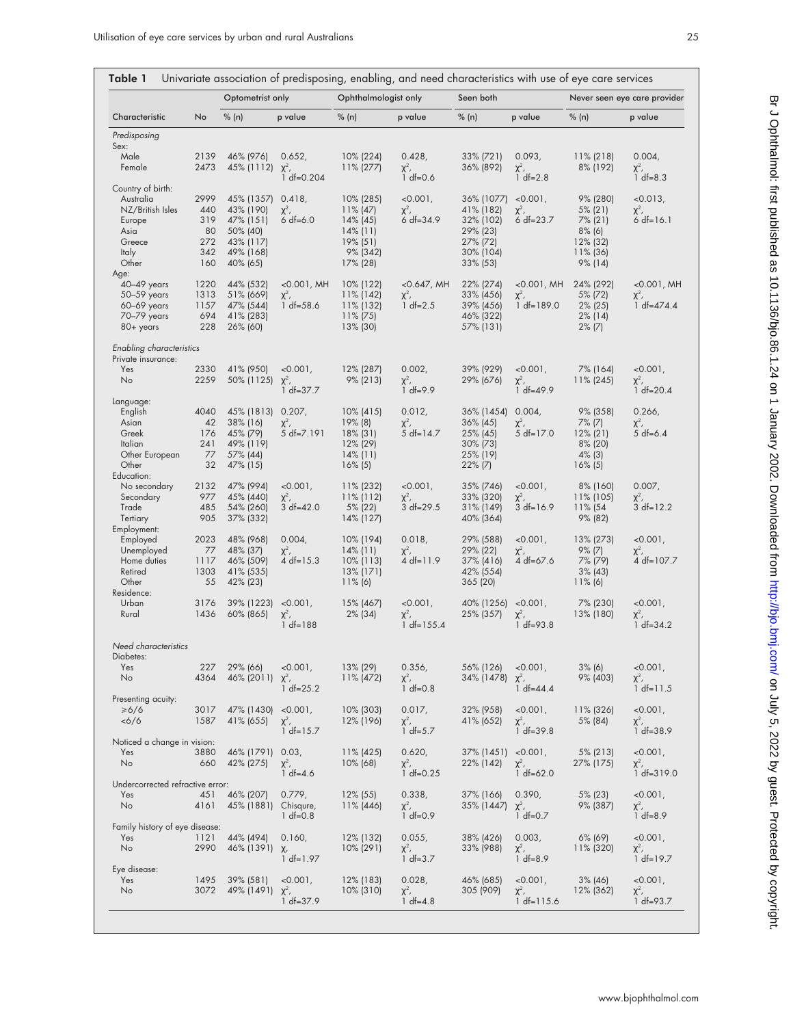| Characteristic                                 | No           | Optometrist only        |                              | Ophthalmologist only         |                             | Seen both               |                             | Never seen eye care provider |                             |
|------------------------------------------------|--------------|-------------------------|------------------------------|------------------------------|-----------------------------|-------------------------|-----------------------------|------------------------------|-----------------------------|
|                                                |              | % (n)                   | p value                      | % (n)                        | p value                     | % (n)                   | p value                     | % (n)                        | p value                     |
| Predisposing                                   |              |                         |                              |                              |                             |                         |                             |                              |                             |
| Sex:                                           |              |                         |                              |                              |                             |                         |                             |                              |                             |
| Male<br>Female                                 | 2139<br>2473 | 46% (976)               | 0.652,                       | $10\%$ (224)                 | 0.428,                      | 33% (721)               | 0.093,                      | $11\%$ (218)                 | 0.004,                      |
|                                                |              | 45% (1112)              | $\chi^2$ ,<br>$1 df = 0.204$ | $11\% (277)$                 | $\chi^2$ ,<br>$1 df = 0.6$  | 36% (892)               | $\chi^2$ ,<br>$1 df = 2.8$  | 8% (192)                     | $\chi^2$ ,<br>$1 df = 8.3$  |
| Country of birth:                              |              |                         |                              |                              |                             |                         |                             |                              |                             |
| Australia<br>NZ/British Isles                  | 2999<br>440  | 45% (1357)<br>43% (190) | 0.418,<br>$\chi^2$ ,         | 10% (285)<br>$11\%$ (47)     | $< 0.001$ ,                 | 36% (1077)<br>41% (182) | $< 0.001$ ,                 | 9% (280)<br>$5\%$ (21)       | $<0.013$ ,                  |
| Europe                                         | 319          | 47% (151)               | $6 df=6.0$                   | $14\%$ (45)                  | $\chi^2$ ,<br>$6 df = 34.9$ | 32% (102)               | $\chi^2$ ,<br>$6 df = 23.7$ | $7\%$ (21)                   | $\chi^2$ ,<br>$6 df = 16.1$ |
| Asia                                           | 80           | 50% (40)                |                              | $14\%$ (11)                  |                             | 29% (23)                |                             | $8\%$ (6)                    |                             |
| Greece                                         | 272          | 43% (117)               |                              | $19\%$ (51)                  |                             | 27% (72)                |                             | 12% (32)                     |                             |
| <b>Italy</b>                                   | 342          | 49% (168)               |                              | 9% (342)                     |                             | 30% (104)               |                             | $11\%$ (36)                  |                             |
| Other<br>Age:                                  | 160          | 40% (65)                |                              | $17\%$ (28)                  |                             | $33\%$ (53)             |                             | 9% (14)                      |                             |
| $40-49$ years                                  | 1220         | 44% (532)               | $<0.001$ , MH                | $10\%$ (122)                 | $<$ 0.647, MH               | 22% (274)               | $<0.001$ , MH               | 24% (292)                    | $<0.001$ , MH               |
| 50-59 years                                    | 1313         | 51% (669)               | $\chi^2$ ,                   | $11\%$ (142)                 | $\chi^2$ ,                  | 33% (456)               | $\chi^2$ ,                  | 5% (72)                      | $\chi^2$ ,                  |
| 60-69 years                                    | 1157         | 47% (544)               | $1 df = 58.6$                | 11% (132)                    | 1 $df=2.5$                  | 39% (456)               | $1 df = 189.0$              | $2\%$ (25)                   | $1 df = 474.4$              |
| 70-79 years<br>80+ years                       | 694<br>228   | 41% (283)<br>26% (60)   |                              | $11\% (75)$<br>13% (30)      |                             | 46% (322)<br>57% (131)  |                             | $2\%$ (14)<br>$2\%$ (7)      |                             |
|                                                |              |                         |                              |                              |                             |                         |                             |                              |                             |
| Enabling characteristics<br>Private insurance: |              |                         |                              |                              |                             |                         |                             |                              |                             |
| Yes                                            | 2330         | 41% (950)               | $< 0.001$ ,                  | 12% (287)                    | 0.002,                      | 39% (929)               | $< 0.001$ ,                 | 7% (164)                     | $<0.001$ ,                  |
| No                                             | 2259         | 50% (1125) $\chi^2$ ,   |                              | $9\%$ (213)                  | $\chi^2$ ,                  | 29% (676)               | $\chi^2$ ,                  | $11\% (245)$                 | $\chi^2$ ,                  |
|                                                |              |                         | $1 df = 37.7$                |                              | $1 df = 9.9$                |                         | $1 df = 49.9$               |                              | $1 df = 20.4$               |
| Language:<br>English                           | 4040         | 45% (1813)              | 0.207,                       | $10\%$ (415)                 | 0.012,                      | 36% (1454)              | 0.004,                      | 9% (358)                     | 0.266,                      |
| Asian                                          | 42           | 38% (16)                | $\chi^2$ ,                   | 19% (8)                      | $\chi^2$ ,                  | $36\%$ (45)             | $\chi^2$ ,                  | $7\%$ (7)                    | $\chi^2$ ,                  |
| Greek                                          | 176          | 45% (79)                | 5 df=7.191                   | $18\%$ (31)                  | 5 df= $14.7$                | 25% (45)                | $5 df=17.0$                 | $12\%$ (21)                  | $5 df=6.4$                  |
| Italian                                        | 241          | 49% (119)               |                              | 12% (29)                     |                             | 30% (73)                |                             | $8\%$ (20)                   |                             |
| Other European<br>Other                        | 77<br>32     | 57% (44)<br>47% (15)    |                              | $14\%$ (11)<br>$16\%$ (5)    |                             | 25% (19)<br>$22\%$ (7)  |                             | $4\%$ (3)                    |                             |
| Education:                                     |              |                         |                              |                              |                             |                         |                             | $16\%$ (5)                   |                             |
| No secondary                                   | 2132         | 47% (994)               | $< 0.001$ ,                  | $11\%$ (232)                 | $< 0.001$ ,                 | 35% (746)               | $< 0.001$ ,                 | 8% (160)                     | 0.007,                      |
| Secondary                                      | 977          | 45% (440)               | $\chi^2$ ,                   | $11\%$ (112)                 | $\chi^2$ ,                  | 33% (320)               | $\chi^2$ ,                  | $11\%$ (105)                 | $\chi^2$ ,                  |
| Trade<br>Tertiary                              | 485<br>905   | 54% (260)<br>37% (332)  | $3 df = 42.0$                | 5% (22)<br>$14\%$ (127)      | 3 df=29.5                   | 31% (149)<br>40% (364)  | $3 df=16.9$                 | 11% (54<br>9% (82)           | $3 df=12.2$                 |
| Employment:                                    |              |                         |                              |                              |                             |                         |                             |                              |                             |
| Employed                                       | 2023         | 48% (968)               | 0.004                        | 10% (194)                    | 0.018,                      | 29% (588)               | $< 0.001$ ,                 | 13% (273)                    | $< 0.001$ ,                 |
| Unemployed                                     | 77           | 48% (37)                | $\chi^2$ ,                   | $14\%$ (11)                  | $\chi^2$ ,                  | 29% (22)                | $\chi^2$ ,                  | $9\%$ (7)                    | $\chi^2$ ,                  |
| Home duties<br>Retired                         | 1117<br>1303 | 46% (509)<br>41% (535)  | 4 df= $15.3$                 | $10\%$ (113)<br>$13\%$ (171) | 4 df= $11.9$                | 37% (416)<br>42% (554)  | 4 $df=67.6$                 | 7% (79)<br>$3\%$ (43)        | 4 df=107.7                  |
| Other                                          | 55           | 42% (23)                |                              | $11\%$ (6)                   |                             | 365 (20)                |                             | $11\%$ (6)                   |                             |
| Residence:                                     |              |                         |                              |                              |                             |                         |                             |                              |                             |
| Urban                                          | 3176         | 39% (1223)              | $< 0.001$ ,                  | 15% (467)                    | $< 0.001$ ,                 | 40% (1256)              | $< 0.001$ ,                 | 7% (230)                     | $<0.001$ ,                  |
| Rural                                          | 1436         | 60% (865)               | $\chi^2$ ,<br>$1 df = 188$   | $2\%$ (34)                   | $\chi^2$ ,<br>$1 df=155.4$  | 25% (357)               | $\chi^2$ ,<br>$1 df = 93.8$ | 13% (180)                    | $\chi^2$ ,<br>$1 df = 34.2$ |
|                                                |              |                         |                              |                              |                             |                         |                             |                              |                             |
| Need characteristics                           |              |                         |                              |                              |                             |                         |                             |                              |                             |
| Diabetes:<br>Yes                               | 227          | 29% (66)                | $< 0.001$ ,                  | 13% (29)                     | 0.356,                      | 56% (126)               | $< 0.001$ ,                 | $3\%$ (6)                    | $<0.001$ ,                  |
| No                                             | 4364         | 46% (2011)              | $\chi^2$ ,                   | 11% (472)                    | $\chi^2$ ,                  | 34% (1478)              | $\chi^2$ ,                  | 9% (403)                     | $\chi^2$ ,                  |
|                                                |              |                         | $1 df = 25.2$                |                              | $1 df = 0.8$                |                         | $1 df = 44.4$               |                              | $1 df=11.5$                 |
| Presenting acuity:<br>$\geq 6/6$               | 3017         | 47% (1430)              | $< 0.001$ ,                  | $10\%$ (303)                 | 0.017,                      | 32% (958)               | $< 0.001$ ,                 | 11% (326)                    | $<0.001$ ,                  |
| $<\frac{6}{6}$                                 | 1587         | 41% (655)               | $\chi^2$ ,                   | 12% (196)                    | $\chi^2$ ,                  | 41% (652)               | $\chi^2$ ,                  | 5% (84)                      | $\chi^2$ ,                  |
|                                                |              |                         | $1 df=15.7$                  |                              | $1 df = 5.7$                |                         | $1 df = 39.8$               |                              | $1 df = 38.9$               |
| Noticed a change in vision:<br>Yes             | 3880         | 46% (1791)              | 0.03,                        | $11\%$ (425)                 | 0.620,                      | 37% (1451)              | $< 0.001$ ,                 | $5\%$ (213)                  | $< 0.001$ ,                 |
| No                                             | 660          | 42% (275)               | $\chi^2$ ,                   | $10\%$ (68)                  | $\chi^2$ ,                  | 22% (142)               | $\chi^2$ ,                  | 27% (175)                    | $\chi^2$ ,                  |
|                                                |              |                         | $1 df = 4.6$                 |                              | $1 df = 0.25$               |                         | $1 df = 62.0$               |                              | $1 df = 319.0$              |
| Undercorrected refractive error:<br>Yes        | 451          | 46% (207)               | 0.779,                       | $12\%$ (55)                  | 0.338,                      | 37% (166)               | 0.390,                      | 5% (23)                      | $< 0.001$ ,                 |
| No                                             | 4161         | 45% (1881)              | Chisqure,                    | 11% (446)                    | $\chi^2$ ,                  | 35% (1447)              | $\chi^2$ ,                  | 9% (387)                     | $\chi^2$ ,                  |
|                                                |              |                         | $1 df = 0.8$                 |                              | $1 df = 0.9$                |                         | $1 df = 0.7$                |                              | $1 df = 8.9$                |
| Family history of eye disease:<br>Yes          | 1121         | 44% (494)               | 0.160,                       | 12% (132)                    | 0.055,                      | 38% (426)               | 0.003,                      | $6\%$ (69)                   | $<0.001$ ,                  |
| No                                             | 2990         | 46% (1391)              | $\chi$ ,                     | $10\%$ (291)                 | $\chi^2$ ,                  | 33% (988)               | $\chi^2$ ,                  | 11% (320)                    | $\chi^2$ ,                  |
|                                                |              |                         | $1 df=1.97$                  |                              | $1 df = 3.7$                |                         | $1 df = 8.9$                |                              | $1 df = 19.7$               |
| Eye disease:                                   |              |                         |                              |                              |                             |                         |                             |                              |                             |
| Yes<br>No                                      | 1495<br>3072 | 39% (581)<br>49% (1491) | $< 0.001$ ,<br>$\chi^2$ ,    | 12% (183)<br>$10\%$ (310)    | 0.028,<br>$\chi^2$ ,        | 46% (685)<br>305 (909)  | $< 0.001$ ,<br>$\chi^2$ ,   | $3\%$ (46)<br>12% (362)      | $< 0.001$ ,<br>$\chi^2$ ,   |
|                                                |              |                         | $1 df = 37.9$                |                              | $1 df = 4.8$                |                         | $1 df=115.6$                |                              | $1 df = 93.7$               |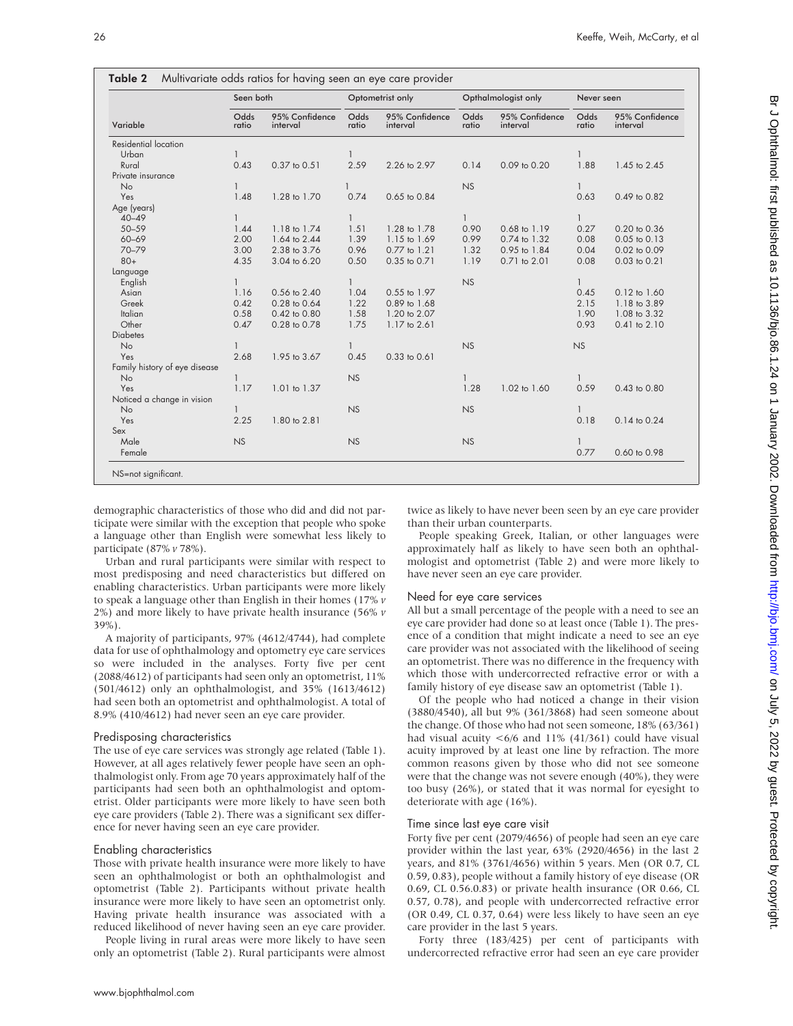|                               | Seen both     |                            | Optometrist only |                            | Opthalmologist only |                            | Never seen    |                            |
|-------------------------------|---------------|----------------------------|------------------|----------------------------|---------------------|----------------------------|---------------|----------------------------|
| Variable                      | Odds<br>ratio | 95% Confidence<br>interval | Odds<br>ratio    | 95% Confidence<br>interval | Odds<br>ratio       | 95% Confidence<br>interval | Odds<br>ratio | 95% Confidence<br>interval |
| Residential location          |               |                            |                  |                            |                     |                            |               |                            |
| Urban                         | $\mathbf{1}$  |                            | $\mathbf{1}$     |                            |                     |                            |               |                            |
| Rural                         | 0.43          | 0.37 to 0.51               | 2.59             | 2.26 to 2.97               | 0.14                | 0.09 to 0.20               | 1.88          | 1.45 to 2.45               |
| Private insurance             |               |                            |                  |                            |                     |                            |               |                            |
| No                            | $\mathbf{1}$  |                            |                  |                            | <b>NS</b>           |                            |               |                            |
| Yes                           | 1.48          | 1.28 to 1.70               | 0.74             | 0.65 to 0.84               |                     |                            | 0.63          | 0.49 to 0.82               |
| Age (years)                   |               |                            |                  |                            |                     |                            |               |                            |
| $40 - 49$                     | $\mathbf{1}$  |                            | $\mathbf{1}$     |                            | 1                   |                            | $\mathbf{1}$  |                            |
| $50 - 59$                     | 1.44          | 1.18 to 1.74               | 1.51             | 1.28 to 1.78               | 0.90                | 0.68 to 1.19               | 0.27          | 0.20 to 0.36               |
| 60-69                         | 2.00          | 1.64 to 2.44               | 1.39             | 1.15 to 1.69               | 0.99                | 0.74 to 1.32               | 0.08          | 0.05 to 0.13               |
| 70-79                         | 3.00          | 2.38 to 3.76               | 0.96             | 0.77 to 1.21               | 1.32                | 0.95 to 1.84               | 0.04          | 0.02 to 0.09               |
| $80+$                         | 4.35          | 3.04 to 6.20               | 0.50             | 0.35 to 0.71               | 1.19                | 0.71 to 2.01               | 0.08          | 0.03 to 0.21               |
| Language                      |               |                            |                  |                            |                     |                            |               |                            |
| English                       | $\mathbf{1}$  |                            | 1                |                            | <b>NS</b>           |                            | $\mathbf{1}$  |                            |
| Asian                         | 1.16          | 0.56 to 2.40               | 1.04             | 0.55 to 1.97               |                     |                            | 0.45          | 0.12 to 1.60               |
| Greek                         | 0.42          | 0.28 to 0.64               | 1.22             | 0.89 to 1.68               |                     |                            | 2.15          | 1.18 to 3.89               |
| Italian                       | 0.58          | 0.42 to 0.80               | 1.58             | 1.20 to 2.07               |                     |                            | 1.90          | 1.08 to 3.32               |
| Other                         | 0.47          | 0.28 to 0.78               | 1.75             | 1.17 to 2.61               |                     |                            | 0.93          | 0.41 to 2.10               |
| <b>Diabetes</b>               |               |                            |                  |                            |                     |                            |               |                            |
| No                            |               |                            | 1                |                            | <b>NS</b>           |                            | <b>NS</b>     |                            |
| Yes                           | 2.68          | 1.95 to 3.67               | 0.45             | 0.33 to 0.61               |                     |                            |               |                            |
| Family history of eye disease |               |                            |                  |                            |                     |                            |               |                            |
| No                            | $\mathbf{1}$  |                            | <b>NS</b>        |                            | $\mathbf{1}$        |                            |               |                            |
| Yes                           | 1.17          | 1.01 to 1.37               |                  |                            | 1.28                | 1.02 to 1.60               | 0.59          | 0.43 to 0.80               |
| Noticed a change in vision    |               |                            |                  |                            |                     |                            |               |                            |
| <b>No</b>                     | $\mathbf{1}$  |                            | NS               |                            | <b>NS</b>           |                            |               |                            |
| Yes                           | 2.25          | 1.80 to 2.81               |                  |                            |                     |                            | 0.18          | 0.14 to 0.24               |
| Sex                           |               |                            |                  |                            |                     |                            |               |                            |
| Male                          | <b>NS</b>     |                            | <b>NS</b>        |                            | <b>NS</b>           |                            |               |                            |
| Female                        |               |                            |                  |                            |                     |                            | 0.77          | 0.60 to 0.98               |

demographic characteristics of those who did and did not participate were similar with the exception that people who spoke a language other than English were somewhat less likely to participate (87% *v* 78%).

Urban and rural participants were similar with respect to most predisposing and need characteristics but differed on enabling characteristics. Urban participants were more likely to speak a language other than English in their homes (17% *v* 2%) and more likely to have private health insurance (56% *v* 39%).

A majority of participants, 97% (4612/4744), had complete data for use of ophthalmology and optometry eye care services so were included in the analyses. Forty five per cent (2088/4612) of participants had seen only an optometrist, 11% (501/4612) only an ophthalmologist, and 35% (1613/4612) had seen both an optometrist and ophthalmologist. A total of 8.9% (410/4612) had never seen an eye care provider.

# Predisposing characteristics

The use of eye care services was strongly age related (Table 1). However, at all ages relatively fewer people have seen an ophthalmologist only. From age 70 years approximately half of the participants had seen both an ophthalmologist and optometrist. Older participants were more likely to have seen both eye care providers (Table 2). There was a significant sex difference for never having seen an eye care provider.

# Enabling characteristics

Those with private health insurance were more likely to have seen an ophthalmologist or both an ophthalmologist and optometrist (Table 2). Participants without private health insurance were more likely to have seen an optometrist only. Having private health insurance was associated with a reduced likelihood of never having seen an eye care provider.

People living in rural areas were more likely to have seen only an optometrist (Table 2). Rural participants were almost twice as likely to have never been seen by an eye care provider than their urban counterparts.

People speaking Greek, Italian, or other languages were approximately half as likely to have seen both an ophthalmologist and optometrist (Table 2) and were more likely to have never seen an eye care provider.

# Need for eye care services

All but a small percentage of the people with a need to see an eye care provider had done so at least once (Table 1). The presence of a condition that might indicate a need to see an eye care provider was not associated with the likelihood of seeing an optometrist. There was no difference in the frequency with which those with undercorrected refractive error or with a family history of eye disease saw an optometrist (Table 1).

Of the people who had noticed a change in their vision (3880/4540), all but 9% (361/3868) had seen someone about the change. Of those who had not seen someone, 18% (63/361) had visual acuity <6/6 and 11% (41/361) could have visual acuity improved by at least one line by refraction. The more common reasons given by those who did not see someone were that the change was not severe enough (40%), they were too busy (26%), or stated that it was normal for eyesight to deteriorate with age (16%).

# Time since last eye care visit

Forty five per cent (2079/4656) of people had seen an eye care provider within the last year, 63% (2920/4656) in the last 2 years, and 81% (3761/4656) within 5 years. Men (OR 0.7, CL 0.59, 0.83), people without a family history of eye disease (OR 0.69, CL 0.56.0.83) or private health insurance (OR 0.66, CL 0.57, 0.78), and people with undercorrected refractive error (OR 0.49, CL 0.37, 0.64) were less likely to have seen an eye care provider in the last 5 years.

Forty three (183/425) per cent of participants with undercorrected refractive error had seen an eye care provider